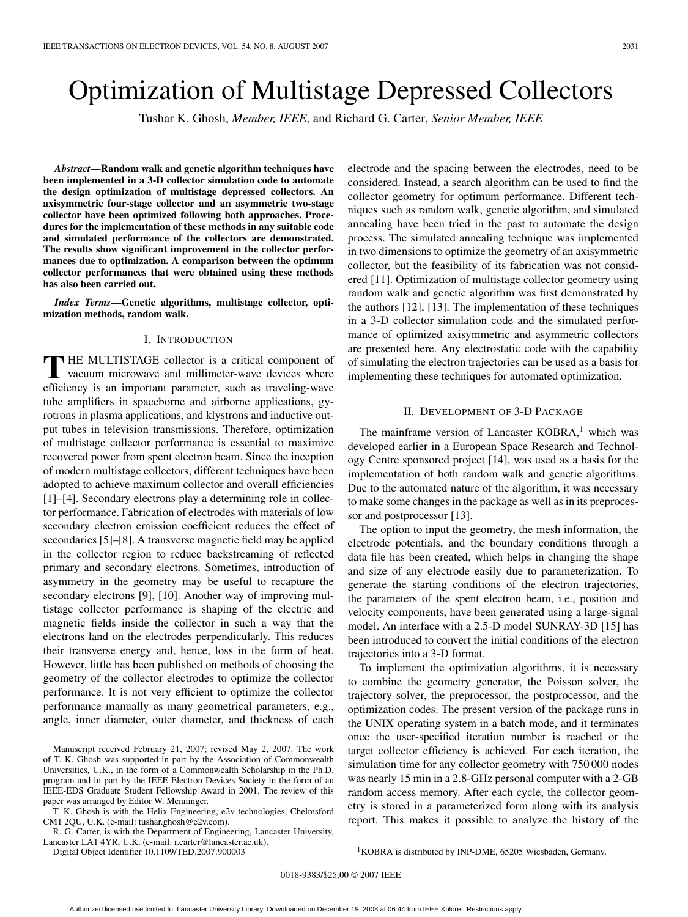# Optimization of Multistage Depressed Collectors

Tushar K. Ghosh, *Member, IEEE*, and Richard G. Carter, *Senior Member, IEEE*

*Abstract***—Random walk and genetic algorithm techniques have been implemented in a 3-D collector simulation code to automate the design optimization of multistage depressed collectors. An axisymmetric four-stage collector and an asymmetric two-stage collector have been optimized following both approaches. Procedures for the implementation of these methods in any suitable code and simulated performance of the collectors are demonstrated. The results show significant improvement in the collector performances due to optimization. A comparison between the optimum collector performances that were obtained using these methods has also been carried out.**

*Index Terms***—Genetic algorithms, multistage collector, optimization methods, random walk.**

## I. INTRODUCTION

THE MULTISTAGE collector is a critical component of vacuum microwave and millimeter-wave devices where efficiency is an important parameter, such as traveling-wave tube amplifiers in spaceborne and airborne applications, gyrotrons in plasma applications, and klystrons and inductive output tubes in television transmissions. Therefore, optimization of multistage collector performance is essential to maximize recovered power from spent electron beam. Since the inception of modern multistage collectors, different techniques have been adopted to achieve maximum collector and overall efficiencies [1]–[4]. Secondary electrons play a determining role in collector performance. Fabrication of electrodes with materials of low secondary electron emission coefficient reduces the effect of secondaries [5]–[8]. A transverse magnetic field may be applied in the collector region to reduce backstreaming of reflected primary and secondary electrons. Sometimes, introduction of asymmetry in the geometry may be useful to recapture the secondary electrons [9], [10]. Another way of improving multistage collector performance is shaping of the electric and magnetic fields inside the collector in such a way that the electrons land on the electrodes perpendicularly. This reduces their transverse energy and, hence, loss in the form of heat. However, little has been published on methods of choosing the geometry of the collector electrodes to optimize the collector performance. It is not very efficient to optimize the collector performance manually as many geometrical parameters, e.g., angle, inner diameter, outer diameter, and thickness of each

Manuscript received February 21, 2007; revised May 2, 2007. The work of T. K. Ghosh was supported in part by the Association of Commonwealth Universities, U.K., in the form of a Commonwealth Scholarship in the Ph.D. program and in part by the IEEE Electron Devices Society in the form of an IEEE-EDS Graduate Student Fellowship Award in 2001. The review of this paper was arranged by Editor W. Menninger.

T. K. Ghosh is with the Helix Engineering, e2v technologies, Chelmsford CM1 2QU, U.K. (e-mail: tushar.ghosh@e2v.com).

R. G. Carter, is with the Department of Engineering, Lancaster University, Lancaster LA1 4YR, U.K. (e-mail: r.carter@lancaster.ac.uk).

Digital Object Identifier 10.1109/TED.2007.900003

electrode and the spacing between the electrodes, need to be considered. Instead, a search algorithm can be used to find the collector geometry for optimum performance. Different techniques such as random walk, genetic algorithm, and simulated annealing have been tried in the past to automate the design process. The simulated annealing technique was implemented in two dimensions to optimize the geometry of an axisymmetric collector, but the feasibility of its fabrication was not considered [11]. Optimization of multistage collector geometry using random walk and genetic algorithm was first demonstrated by the authors [12], [13]. The implementation of these techniques in a 3-D collector simulation code and the simulated performance of optimized axisymmetric and asymmetric collectors are presented here. Any electrostatic code with the capability of simulating the electron trajectories can be used as a basis for implementing these techniques for automated optimization.

#### II. DEVELOPMENT OF 3-D PACKAGE

The mainframe version of Lancaster  $KOBRA$ ,<sup>1</sup> which was developed earlier in a European Space Research and Technology Centre sponsored project [14], was used as a basis for the implementation of both random walk and genetic algorithms. Due to the automated nature of the algorithm, it was necessary to make some changes in the package as well as in its preprocessor and postprocessor [13].

The option to input the geometry, the mesh information, the electrode potentials, and the boundary conditions through a data file has been created, which helps in changing the shape and size of any electrode easily due to parameterization. To generate the starting conditions of the electron trajectories, the parameters of the spent electron beam, i.e., position and velocity components, have been generated using a large-signal model. An interface with a 2.5-D model SUNRAY-3D [15] has been introduced to convert the initial conditions of the electron trajectories into a 3-D format.

To implement the optimization algorithms, it is necessary to combine the geometry generator, the Poisson solver, the trajectory solver, the preprocessor, the postprocessor, and the optimization codes. The present version of the package runs in the UNIX operating system in a batch mode, and it terminates once the user-specified iteration number is reached or the target collector efficiency is achieved. For each iteration, the simulation time for any collector geometry with 750 000 nodes was nearly 15 min in a 2.8-GHz personal computer with a 2-GB random access memory. After each cycle, the collector geometry is stored in a parameterized form along with its analysis report. This makes it possible to analyze the history of the

<sup>1</sup>KOBRA is distributed by INP-DME, 65205 Wiesbaden, Germany.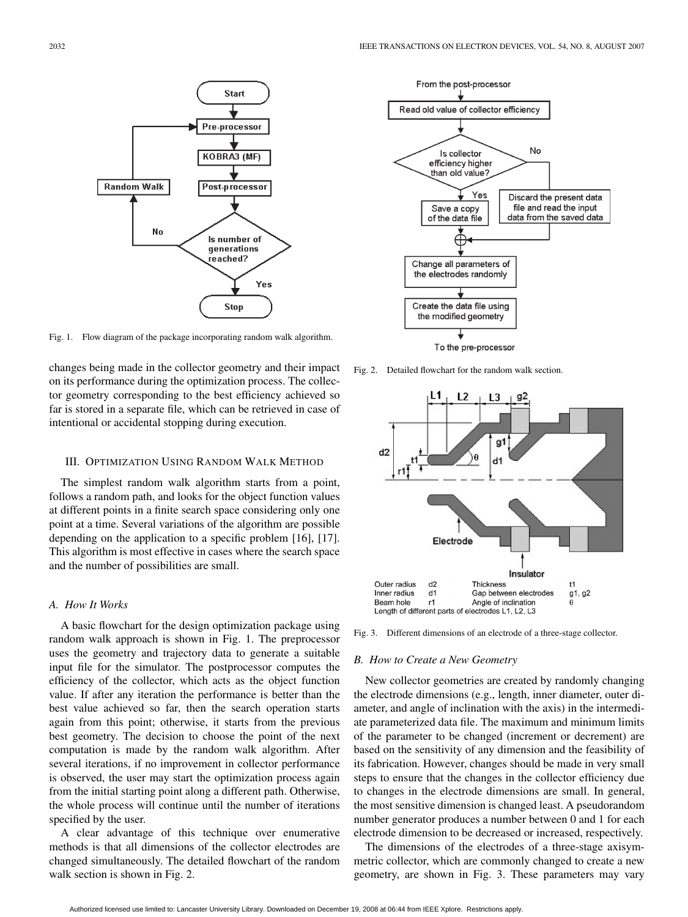

Fig. 1. Flow diagram of the package incorporating random walk algorithm.

changes being made in the collector geometry and their impact on its performance during the optimization process. The collector geometry corresponding to the best efficiency achieved so far is stored in a separate file, which can be retrieved in case of intentional or accidental stopping during execution.

# III. OPTIMIZATION USING RANDOM WALK METHOD

The simplest random walk algorithm starts from a point, follows a random path, and looks for the object function values at different points in a finite search space considering only one point at a time. Several variations of the algorithm are possible depending on the application to a specific problem [16], [17]. This algorithm is most effective in cases where the search space and the number of possibilities are small.

## *A. How It Works*

A basic flowchart for the design optimization package using random walk approach is shown in Fig. 1. The preprocessor uses the geometry and trajectory data to generate a suitable input file for the simulator. The postprocessor computes the efficiency of the collector, which acts as the object function value. If after any iteration the performance is better than the best value achieved so far, then the search operation starts again from this point; otherwise, it starts from the previous best geometry. The decision to choose the point of the next computation is made by the random walk algorithm. After several iterations, if no improvement in collector performance is observed, the user may start the optimization process again from the initial starting point along a different path. Otherwise, the whole process will continue until the number of iterations specified by the user.

A clear advantage of this technique over enumerative methods is that all dimensions of the collector electrodes are changed simultaneously. The detailed flowchart of the random walk section is shown in Fig. 2.



To the pre-processor

Fig. 2. Detailed flowchart for the random walk section.



Fig. 3. Different dimensions of an electrode of a three-stage collector.

#### *B. How to Create a New Geometry*

New collector geometries are created by randomly changing the electrode dimensions (e.g., length, inner diameter, outer diameter, and angle of inclination with the axis) in the intermediate parameterized data file. The maximum and minimum limits of the parameter to be changed (increment or decrement) are based on the sensitivity of any dimension and the feasibility of its fabrication. However, changes should be made in very small steps to ensure that the changes in the collector efficiency due to changes in the electrode dimensions are small. In general, the most sensitive dimension is changed least. A pseudorandom number generator produces a number between 0 and 1 for each electrode dimension to be decreased or increased, respectively.

The dimensions of the electrodes of a three-stage axisymmetric collector, which are commonly changed to create a new geometry, are shown in Fig. 3. These parameters may vary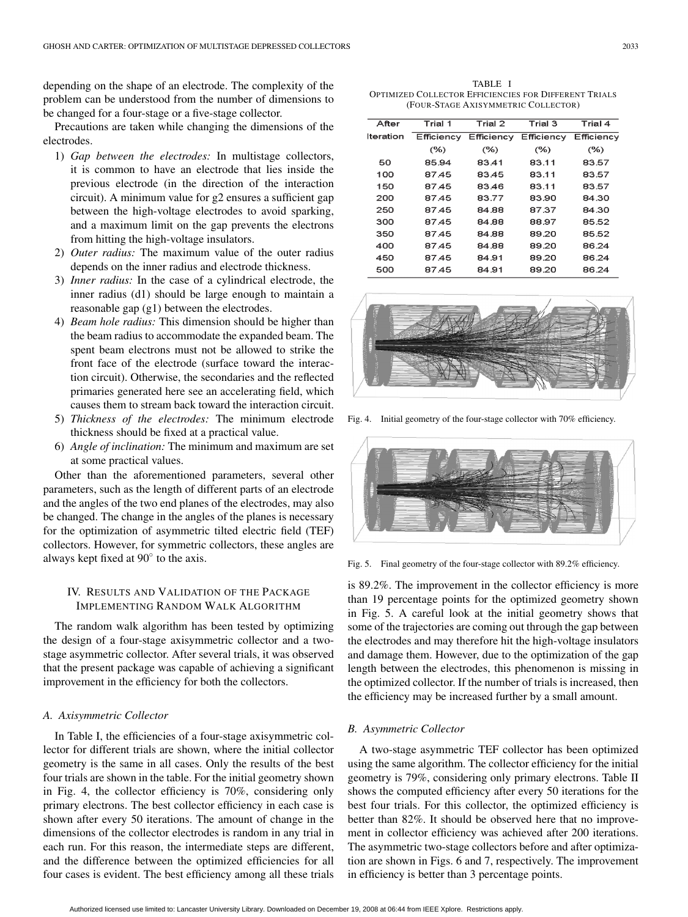depending on the shape of an electrode. The complexity of the problem can be understood from the number of dimensions to be changed for a four-stage or a five-stage collector.

Precautions are taken while changing the dimensions of the electrodes.

- 1) *Gap between the electrodes:* In multistage collectors, it is common to have an electrode that lies inside the previous electrode (in the direction of the interaction circuit). A minimum value for g2 ensures a sufficient gap between the high-voltage electrodes to avoid sparking, and a maximum limit on the gap prevents the electrons from hitting the high-voltage insulators.
- 2) *Outer radius:* The maximum value of the outer radius depends on the inner radius and electrode thickness.
- 3) *Inner radius:* In the case of a cylindrical electrode, the inner radius (d1) should be large enough to maintain a reasonable gap (g1) between the electrodes.
- 4) *Beam hole radius:* This dimension should be higher than the beam radius to accommodate the expanded beam. The spent beam electrons must not be allowed to strike the front face of the electrode (surface toward the interaction circuit). Otherwise, the secondaries and the reflected primaries generated here see an accelerating field, which causes them to stream back toward the interaction circuit.
- 5) *Thickness of the electrodes:* The minimum electrode thickness should be fixed at a practical value.
- 6) *Angle of inclination:* The minimum and maximum are set at some practical values.

Other than the aforementioned parameters, several other parameters, such as the length of different parts of an electrode and the angles of the two end planes of the electrodes, may also be changed. The change in the angles of the planes is necessary for the optimization of asymmetric tilted electric field (TEF) collectors. However, for symmetric collectors, these angles are always kept fixed at 90◦ to the axis.

# IV. RESULTS AND VALIDATION OF THE PACKAGE IMPLEMENTING RANDOM WALK ALGORITHM

The random walk algorithm has been tested by optimizing the design of a four-stage axisymmetric collector and a twostage asymmetric collector. After several trials, it was observed that the present package was capable of achieving a significant improvement in the efficiency for both the collectors.

#### *A. Axisymmetric Collector*

In Table I, the efficiencies of a four-stage axisymmetric collector for different trials are shown, where the initial collector geometry is the same in all cases. Only the results of the best four trials are shown in the table. For the initial geometry shown in Fig. 4, the collector efficiency is 70%, considering only primary electrons. The best collector efficiency in each case is shown after every 50 iterations. The amount of change in the dimensions of the collector electrodes is random in any trial in each run. For this reason, the intermediate steps are different, and the difference between the optimized efficiencies for all four cases is evident. The best efficiency among all these trials

TABLE I OPTIMIZED COLLECTOR EFFICIENCIES FOR DIFFERENT TRIALS (FOUR-STAGE AXISYMMETRIC COLLECTOR)

| After     | Trial 1    | Trial 2    | Trial 3    | Trial 4    |
|-----------|------------|------------|------------|------------|
| Iteration | Efficiency | Efficiency | Efficiency | Efficiency |
|           | (%)        | (%)        | (%)        | (%)        |
| 50        | 85.94      | 83.41      | 83.11      | 83.57      |
| 100       | 87.45      | 83.45      | 83.11      | 83.57      |
| 150       | 87 45      | 8346       | 83.11      | 83.57      |
| 200       | 87.45      | 83.77      | 83.90      | 84.30      |
| 250       | 87.45      | 84.88      | 87.37      | 84.30      |
| 300       | 87.45      | 84.88      | 88.97      | 85.52      |
| 350       | 87.45      | 84.88      | 89.20      | 85.52      |
| 400       | 87.45      | 84.88      | 89.20      | 86.24      |
| 450       | 87.45      | 84.91      | 89.20      | 86.24      |
| 500       | 87 45      | 84.91      | 89.20      | 86.24      |



Fig. 4. Initial geometry of the four-stage collector with 70% efficiency.



Fig. 5. Final geometry of the four-stage collector with 89.2% efficiency.

is 89.2%. The improvement in the collector efficiency is more than 19 percentage points for the optimized geometry shown in Fig. 5. A careful look at the initial geometry shows that some of the trajectories are coming out through the gap between the electrodes and may therefore hit the high-voltage insulators and damage them. However, due to the optimization of the gap length between the electrodes, this phenomenon is missing in the optimized collector. If the number of trials is increased, then the efficiency may be increased further by a small amount.

#### *B. Asymmetric Collector*

A two-stage asymmetric TEF collector has been optimized using the same algorithm. The collector efficiency for the initial geometry is 79%, considering only primary electrons. Table II shows the computed efficiency after every 50 iterations for the best four trials. For this collector, the optimized efficiency is better than 82%. It should be observed here that no improvement in collector efficiency was achieved after 200 iterations. The asymmetric two-stage collectors before and after optimization are shown in Figs. 6 and 7, respectively. The improvement in efficiency is better than 3 percentage points.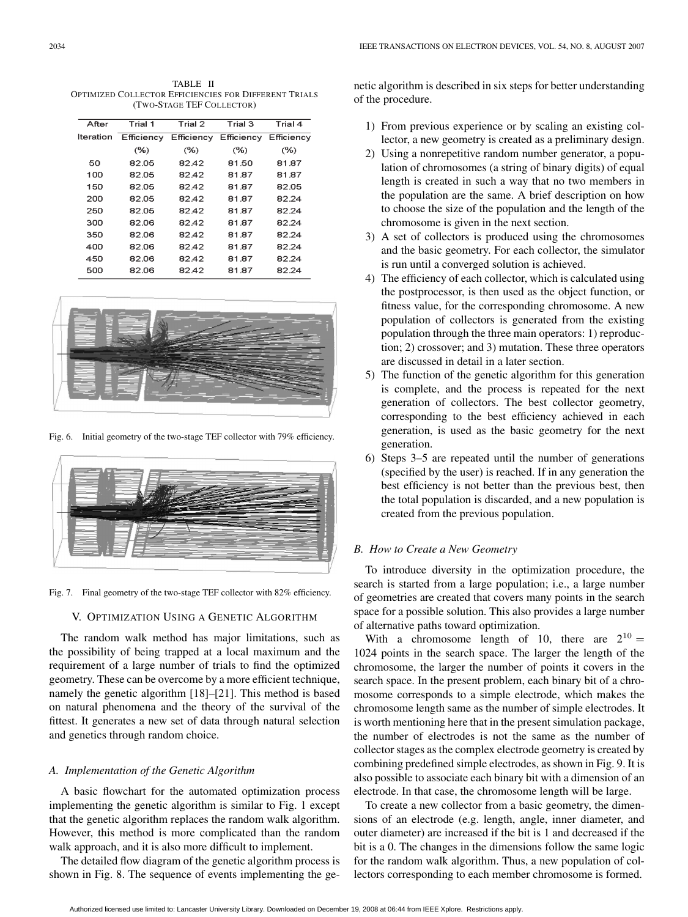TABLE II OPTIMIZED COLLECTOR EFFICIENCIES FOR DIFFERENT TRIALS (TWO-STAGE TEF COLLECTOR)

| After     | Trial 1    | Trial 2    | Trial 3    | Trial 4    |
|-----------|------------|------------|------------|------------|
| Iteration | Efficiency | Efficiency | Efficiency | Efficiency |
|           | (%)        | (%)        | (%)        | (%)        |
| 50        | 82.05      | 82.42      | 81.50      | 81.87      |
| 100       | 82.05      | 82.42      | 81.87      | 81.87      |
| 150       | 82.05      | 8242       | 81.87      | 82.05      |
| 200       | 82.05      | 82.42      | 81.87      | 82.24      |
| 250       | 82.05      | 82.42      | 81.87      | 82.24      |
| 300       | 82.06      | 82.42      | 81.87      | 82.24      |
| 350       | 82.06      | 82.42      | 81.87      | 82.24      |
| 400       | 82.06      | 82.42      | 81.87      | 82.24      |
| 450       | 82.06      | 82.42      | 81.87      | 82.24      |
| 500       | 82.06      | 82.42      | 81.87      | 82.24      |



Fig. 6. Initial geometry of the two-stage TEF collector with 79% efficiency.



Fig. 7. Final geometry of the two-stage TEF collector with 82% efficiency.

## V. OPTIMIZATION USING A GENETIC ALGORITHM

The random walk method has major limitations, such as the possibility of being trapped at a local maximum and the requirement of a large number of trials to find the optimized geometry. These can be overcome by a more efficient technique, namely the genetic algorithm [18]–[21]. This method is based on natural phenomena and the theory of the survival of the fittest. It generates a new set of data through natural selection and genetics through random choice.

## *A. Implementation of the Genetic Algorithm*

A basic flowchart for the automated optimization process implementing the genetic algorithm is similar to Fig. 1 except that the genetic algorithm replaces the random walk algorithm. However, this method is more complicated than the random walk approach, and it is also more difficult to implement.

The detailed flow diagram of the genetic algorithm process is shown in Fig. 8. The sequence of events implementing the genetic algorithm is described in six steps for better understanding of the procedure.

- 1) From previous experience or by scaling an existing collector, a new geometry is created as a preliminary design.
- 2) Using a nonrepetitive random number generator, a population of chromosomes (a string of binary digits) of equal length is created in such a way that no two members in the population are the same. A brief description on how to choose the size of the population and the length of the chromosome is given in the next section.
- 3) A set of collectors is produced using the chromosomes and the basic geometry. For each collector, the simulator is run until a converged solution is achieved.
- 4) The efficiency of each collector, which is calculated using the postprocessor, is then used as the object function, or fitness value, for the corresponding chromosome. A new population of collectors is generated from the existing population through the three main operators: 1) reproduction; 2) crossover; and 3) mutation. These three operators are discussed in detail in a later section.
- 5) The function of the genetic algorithm for this generation is complete, and the process is repeated for the next generation of collectors. The best collector geometry, corresponding to the best efficiency achieved in each generation, is used as the basic geometry for the next generation.
- 6) Steps 3–5 are repeated until the number of generations (specified by the user) is reached. If in any generation the best efficiency is not better than the previous best, then the total population is discarded, and a new population is created from the previous population.

#### *B. How to Create a New Geometry*

To introduce diversity in the optimization procedure, the search is started from a large population; i.e., a large number of geometries are created that covers many points in the search space for a possible solution. This also provides a large number of alternative paths toward optimization.

With a chromosome length of 10, there are  $2^{10} =$ 1024 points in the search space. The larger the length of the chromosome, the larger the number of points it covers in the search space. In the present problem, each binary bit of a chromosome corresponds to a simple electrode, which makes the chromosome length same as the number of simple electrodes. It is worth mentioning here that in the present simulation package, the number of electrodes is not the same as the number of collector stages as the complex electrode geometry is created by combining predefined simple electrodes, as shown in Fig. 9. It is also possible to associate each binary bit with a dimension of an electrode. In that case, the chromosome length will be large.

To create a new collector from a basic geometry, the dimensions of an electrode (e.g. length, angle, inner diameter, and outer diameter) are increased if the bit is 1 and decreased if the bit is a 0. The changes in the dimensions follow the same logic for the random walk algorithm. Thus, a new population of collectors corresponding to each member chromosome is formed.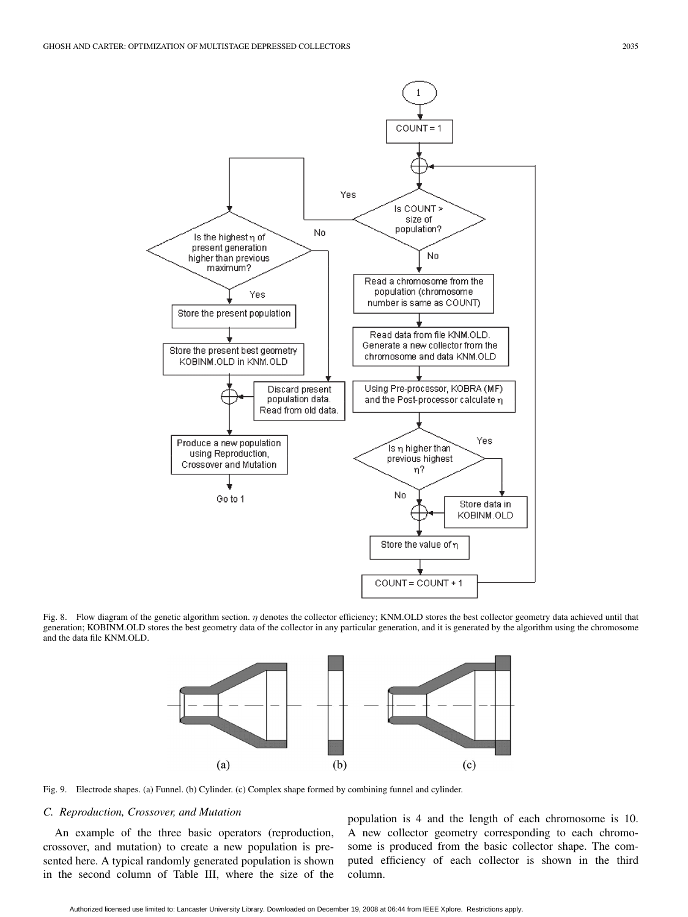

Fig. 8. Flow diagram of the genetic algorithm section. η denotes the collector efficiency; KNM.OLD stores the best collector geometry data achieved until that generation; KOBINM.OLD stores the best geometry data of the collector in any particular generation, and it is generated by the algorithm using the chromosome and the data file KNM.OLD.



Fig. 9. Electrode shapes. (a) Funnel. (b) Cylinder. (c) Complex shape formed by combining funnel and cylinder.

## *C. Reproduction, Crossover, and Mutation*

An example of the three basic operators (reproduction, crossover, and mutation) to create a new population is presented here. A typical randomly generated population is shown in the second column of Table III, where the size of the

population is 4 and the length of each chromosome is 10. A new collector geometry corresponding to each chromosome is produced from the basic collector shape. The computed efficiency of each collector is shown in the third column.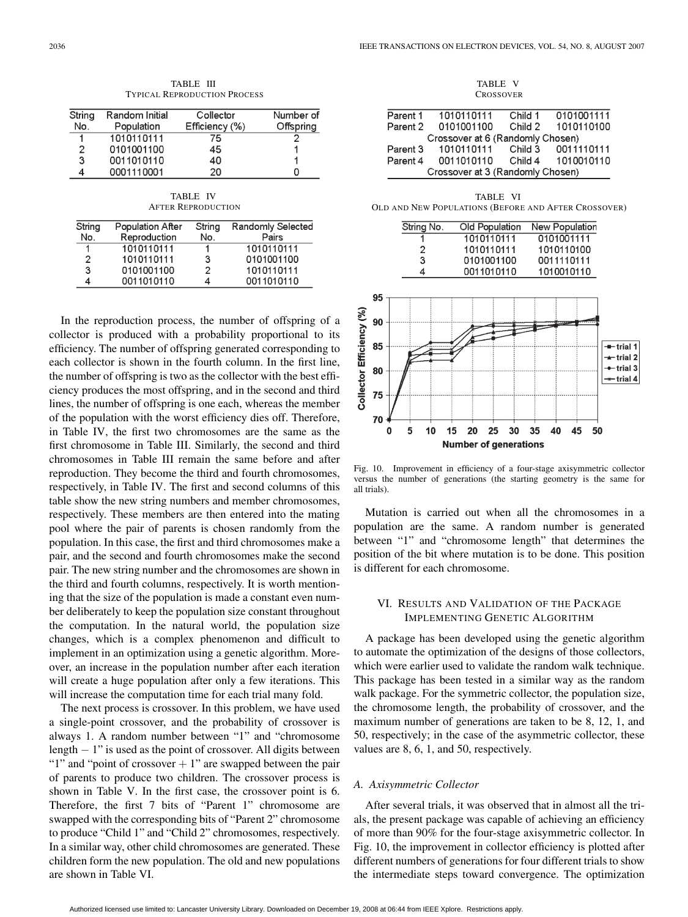TABLE V **CROSSOVER** 

| Parent 1                         | 1010110111 | Child 1 | 0101001111         |  |
|----------------------------------|------------|---------|--------------------|--|
| Parent 2                         | 0101001100 | Child 2 | 1010110100         |  |
| Crossover at 6 (Randomly Chosen) |            |         |                    |  |
| Parent 3                         | 1010110111 |         | Child 3 0011110111 |  |
| Parent 4                         | 0011010110 | Child 4 | 1010010110         |  |
| Crossover at 3 (Randomly Chosen) |            |         |                    |  |

TABLE VI OLD AND NEW POPULATIONS (BEFORE AND AFTER CROSSOVER)



**Number of generations** Fig. 10. Improvement in efficiency of a four-stage axisymmetric collector

versus the number of generations (the starting geometry is the same for all trials).

Mutation is carried out when all the chromosomes in a population are the same. A random number is generated between "1" and "chromosome length" that determines the position of the bit where mutation is to be done. This position is different for each chromosome.

## VI. RESULTS AND VALIDATION OF THE PACKAGE IMPLEMENTING GENETIC ALGORITHM

A package has been developed using the genetic algorithm to automate the optimization of the designs of those collectors, which were earlier used to validate the random walk technique. This package has been tested in a similar way as the random walk package. For the symmetric collector, the population size, the chromosome length, the probability of crossover, and the maximum number of generations are taken to be 8, 12, 1, and 50, respectively; in the case of the asymmetric collector, these values are 8, 6, 1, and 50, respectively.

## *A. Axisymmetric Collector*

After several trials, it was observed that in almost all the trials, the present package was capable of achieving an efficiency of more than 90% for the four-stage axisymmetric collector. In Fig. 10, the improvement in collector efficiency is plotted after different numbers of generations for four different trials to show the intermediate steps toward convergence. The optimization

TYPICAL REPRODUCTION PROCESS String Random Initial Collector Number of Population Efficiency (%) Offspring 1010110111  $\overline{75}$ ヮ 0101001100 45 1

40

20

1

0

TABLE III

TABLE IV AFTER REPRODUCTION

| String | <b>Population After</b> | String | Randomly Selected |
|--------|-------------------------|--------|-------------------|
| No.    | Reproduction            | No.    | Pairs             |
| 1      | 1010110111              |        | 1010110111        |
| 2      | 1010110111              | 3      | 0101001100        |
| 3      | 0101001100              | 2      | 1010110111        |
| 4      | 0011010110              | 4      | 0011010110        |
|        |                         |        |                   |

In the reproduction process, the number of offspring of a collector is produced with a probability proportional to its efficiency. The number of offspring generated corresponding to each collector is shown in the fourth column. In the first line, the number of offspring is two as the collector with the best efficiency produces the most offspring, and in the second and third lines, the number of offspring is one each, whereas the member of the population with the worst efficiency dies off. Therefore, in Table IV, the first two chromosomes are the same as the first chromosome in Table III. Similarly, the second and third chromosomes in Table III remain the same before and after reproduction. They become the third and fourth chromosomes, respectively, in Table IV. The first and second columns of this table show the new string numbers and member chromosomes, respectively. These members are then entered into the mating pool where the pair of parents is chosen randomly from the population. In this case, the first and third chromosomes make a pair, and the second and fourth chromosomes make the second pair. The new string number and the chromosomes are shown in the third and fourth columns, respectively. It is worth mentioning that the size of the population is made a constant even number deliberately to keep the population size constant throughout the computation. In the natural world, the population size changes, which is a complex phenomenon and difficult to implement in an optimization using a genetic algorithm. Moreover, an increase in the population number after each iteration will create a huge population after only a few iterations. This will increase the computation time for each trial many fold.

The next process is crossover. In this problem, we have used a single-point crossover, and the probability of crossover is always 1. A random number between "1" and "chromosome length − 1" is used as the point of crossover. All digits between "1" and "point of crossover  $+1$ " are swapped between the pair of parents to produce two children. The crossover process is shown in Table V. In the first case, the crossover point is 6. Therefore, the first 7 bits of "Parent 1" chromosome are swapped with the corresponding bits of "Parent 2" chromosome to produce "Child 1" and "Child 2" chromosomes, respectively. In a similar way, other child chromosomes are generated. These children form the new population. The old and new populations are shown in Table VI.

**No**  $\overline{\mathbf{1}}$ 

 $\overline{2}$ 

3

 $\overline{\mathbf{4}}$ 

0011010110

0001110001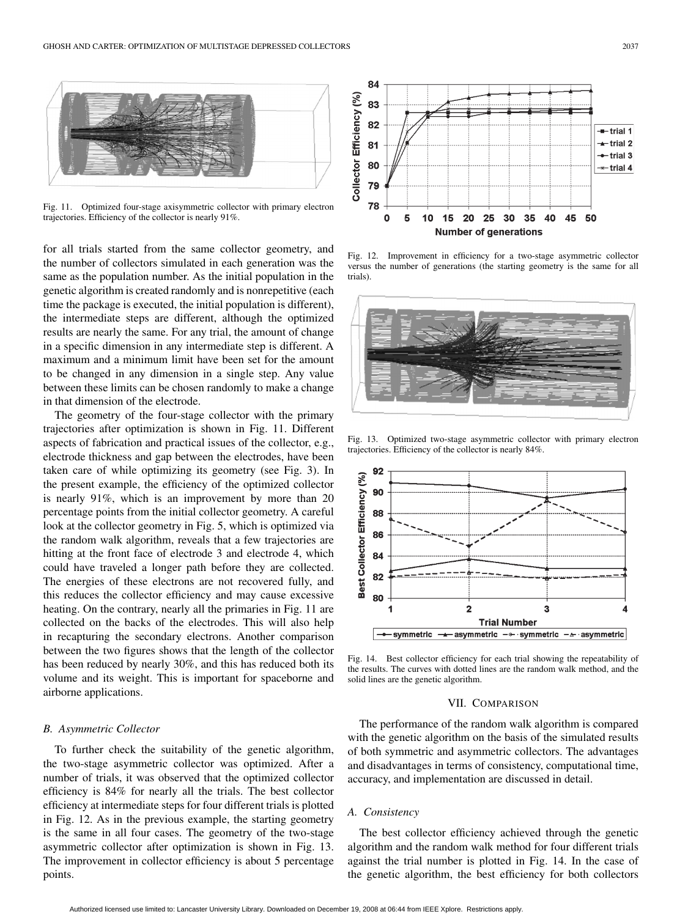

Fig. 11. Optimized four-stage axisymmetric collector with primary electron trajectories. Efficiency of the collector is nearly 91%.

for all trials started from the same collector geometry, and the number of collectors simulated in each generation was the same as the population number. As the initial population in the genetic algorithm is created randomly and is nonrepetitive (each time the package is executed, the initial population is different), the intermediate steps are different, although the optimized results are nearly the same. For any trial, the amount of change in a specific dimension in any intermediate step is different. A maximum and a minimum limit have been set for the amount to be changed in any dimension in a single step. Any value between these limits can be chosen randomly to make a change in that dimension of the electrode.

The geometry of the four-stage collector with the primary trajectories after optimization is shown in Fig. 11. Different aspects of fabrication and practical issues of the collector, e.g., electrode thickness and gap between the electrodes, have been taken care of while optimizing its geometry (see Fig. 3). In the present example, the efficiency of the optimized collector is nearly 91%, which is an improvement by more than 20 percentage points from the initial collector geometry. A careful look at the collector geometry in Fig. 5, which is optimized via the random walk algorithm, reveals that a few trajectories are hitting at the front face of electrode 3 and electrode 4, which could have traveled a longer path before they are collected. The energies of these electrons are not recovered fully, and this reduces the collector efficiency and may cause excessive heating. On the contrary, nearly all the primaries in Fig. 11 are collected on the backs of the electrodes. This will also help in recapturing the secondary electrons. Another comparison between the two figures shows that the length of the collector has been reduced by nearly 30%, and this has reduced both its volume and its weight. This is important for spaceborne and airborne applications.

#### *B. Asymmetric Collector*

To further check the suitability of the genetic algorithm, the two-stage asymmetric collector was optimized. After a number of trials, it was observed that the optimized collector efficiency is 84% for nearly all the trials. The best collector efficiency at intermediate steps for four different trials is plotted in Fig. 12. As in the previous example, the starting geometry is the same in all four cases. The geometry of the two-stage asymmetric collector after optimization is shown in Fig. 13. The improvement in collector efficiency is about 5 percentage points.



Fig. 12. Improvement in efficiency for a two-stage asymmetric collector versus the number of generations (the starting geometry is the same for all trials).



Fig. 13. Optimized two-stage asymmetric collector with primary electron trajectories. Efficiency of the collector is nearly 84%.



Fig. 14. Best collector efficiency for each trial showing the repeatability of the results. The curves with dotted lines are the random walk method, and the solid lines are the genetic algorithm.

### VII. COMPARISON

The performance of the random walk algorithm is compared with the genetic algorithm on the basis of the simulated results of both symmetric and asymmetric collectors. The advantages and disadvantages in terms of consistency, computational time, accuracy, and implementation are discussed in detail.

#### *A. Consistency*

The best collector efficiency achieved through the genetic algorithm and the random walk method for four different trials against the trial number is plotted in Fig. 14. In the case of the genetic algorithm, the best efficiency for both collectors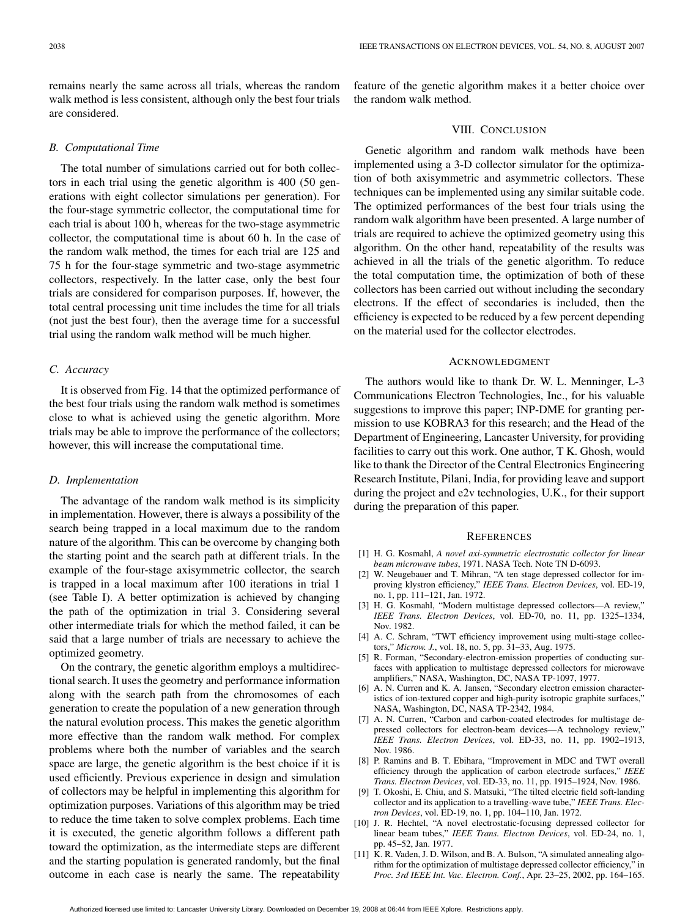remains nearly the same across all trials, whereas the random walk method is less consistent, although only the best four trials are considered.

#### *B. Computational Time*

The total number of simulations carried out for both collectors in each trial using the genetic algorithm is 400 (50 generations with eight collector simulations per generation). For the four-stage symmetric collector, the computational time for each trial is about 100 h, whereas for the two-stage asymmetric collector, the computational time is about 60 h. In the case of the random walk method, the times for each trial are 125 and 75 h for the four-stage symmetric and two-stage asymmetric collectors, respectively. In the latter case, only the best four trials are considered for comparison purposes. If, however, the total central processing unit time includes the time for all trials (not just the best four), then the average time for a successful trial using the random walk method will be much higher.

# *C. Accuracy*

It is observed from Fig. 14 that the optimized performance of the best four trials using the random walk method is sometimes close to what is achieved using the genetic algorithm. More trials may be able to improve the performance of the collectors; however, this will increase the computational time.

#### *D. Implementation*

The advantage of the random walk method is its simplicity in implementation. However, there is always a possibility of the search being trapped in a local maximum due to the random nature of the algorithm. This can be overcome by changing both the starting point and the search path at different trials. In the example of the four-stage axisymmetric collector, the search is trapped in a local maximum after 100 iterations in trial 1 (see Table I). A better optimization is achieved by changing the path of the optimization in trial 3. Considering several other intermediate trials for which the method failed, it can be said that a large number of trials are necessary to achieve the optimized geometry.

On the contrary, the genetic algorithm employs a multidirectional search. It uses the geometry and performance information along with the search path from the chromosomes of each generation to create the population of a new generation through the natural evolution process. This makes the genetic algorithm more effective than the random walk method. For complex problems where both the number of variables and the search space are large, the genetic algorithm is the best choice if it is used efficiently. Previous experience in design and simulation of collectors may be helpful in implementing this algorithm for optimization purposes. Variations of this algorithm may be tried to reduce the time taken to solve complex problems. Each time it is executed, the genetic algorithm follows a different path toward the optimization, as the intermediate steps are different and the starting population is generated randomly, but the final outcome in each case is nearly the same. The repeatability

feature of the genetic algorithm makes it a better choice over the random walk method.

## VIII. CONCLUSION

Genetic algorithm and random walk methods have been implemented using a 3-D collector simulator for the optimization of both axisymmetric and asymmetric collectors. These techniques can be implemented using any similar suitable code. The optimized performances of the best four trials using the random walk algorithm have been presented. A large number of trials are required to achieve the optimized geometry using this algorithm. On the other hand, repeatability of the results was achieved in all the trials of the genetic algorithm. To reduce the total computation time, the optimization of both of these collectors has been carried out without including the secondary electrons. If the effect of secondaries is included, then the efficiency is expected to be reduced by a few percent depending on the material used for the collector electrodes.

## **ACKNOWLEDGMENT**

The authors would like to thank Dr. W. L. Menninger, L-3 Communications Electron Technologies, Inc., for his valuable suggestions to improve this paper; INP-DME for granting permission to use KOBRA3 for this research; and the Head of the Department of Engineering, Lancaster University, for providing facilities to carry out this work. One author, T K. Ghosh, would like to thank the Director of the Central Electronics Engineering Research Institute, Pilani, India, for providing leave and support during the project and e2v technologies, U.K., for their support during the preparation of this paper.

## **REFERENCES**

- [1] H. G. Kosmahl, *A novel axi-symmetric electrostatic collector for linear beam microwave tubes*, 1971. NASA Tech. Note TN D-6093.
- [2] W. Neugebauer and T. Mihran, "A ten stage depressed collector for improving klystron efficiency," *IEEE Trans. Electron Devices*, vol. ED-19, no. 1, pp. 111–121, Jan. 1972.
- [3] H. G. Kosmahl, "Modern multistage depressed collectors—A review," *IEEE Trans. Electron Devices*, vol. ED-70, no. 11, pp. 1325–1334, Nov. 1982.
- [4] A. C. Schram, "TWT efficiency improvement using multi-stage collectors," *Microw. J.*, vol. 18, no. 5, pp. 31–33, Aug. 1975.
- [5] R. Forman, "Secondary-electron-emission properties of conducting surfaces with application to multistage depressed collectors for microwave amplifiers," NASA, Washington, DC, NASA TP-1097, 1977.
- [6] A. N. Curren and K. A. Jansen, "Secondary electron emission characteristics of ion-textured copper and high-purity isotropic graphite surfaces," NASA, Washington, DC, NASA TP-2342, 1984.
- [7] A. N. Curren, "Carbon and carbon-coated electrodes for multistage depressed collectors for electron-beam devices—A technology review," *IEEE Trans. Electron Devices*, vol. ED-33, no. 11, pp. 1902–1913, Nov. 1986.
- [8] P. Ramins and B. T. Ebihara, "Improvement in MDC and TWT overall efficiency through the application of carbon electrode surfaces," *IEEE Trans. Electron Devices*, vol. ED-33, no. 11, pp. 1915–1924, Nov. 1986.
- [9] T. Okoshi, E. Chiu, and S. Matsuki, "The tilted electric field soft-landing collector and its application to a travelling-wave tube," *IEEE Trans. Electron Devices*, vol. ED-19, no. 1, pp. 104–110, Jan. 1972.
- [10] J. R. Hechtel, "A novel electrostatic-focusing depressed collector for linear beam tubes," *IEEE Trans. Electron Devices*, vol. ED-24, no. 1, pp. 45–52, Jan. 1977.
- [11] K. R. Vaden, J. D. Wilson, and B. A. Bulson, "A simulated annealing algorithm for the optimization of multistage depressed collector efficiency," in *Proc. 3rd IEEE Int. Vac. Electron. Conf.*, Apr. 23–25, 2002, pp. 164–165.